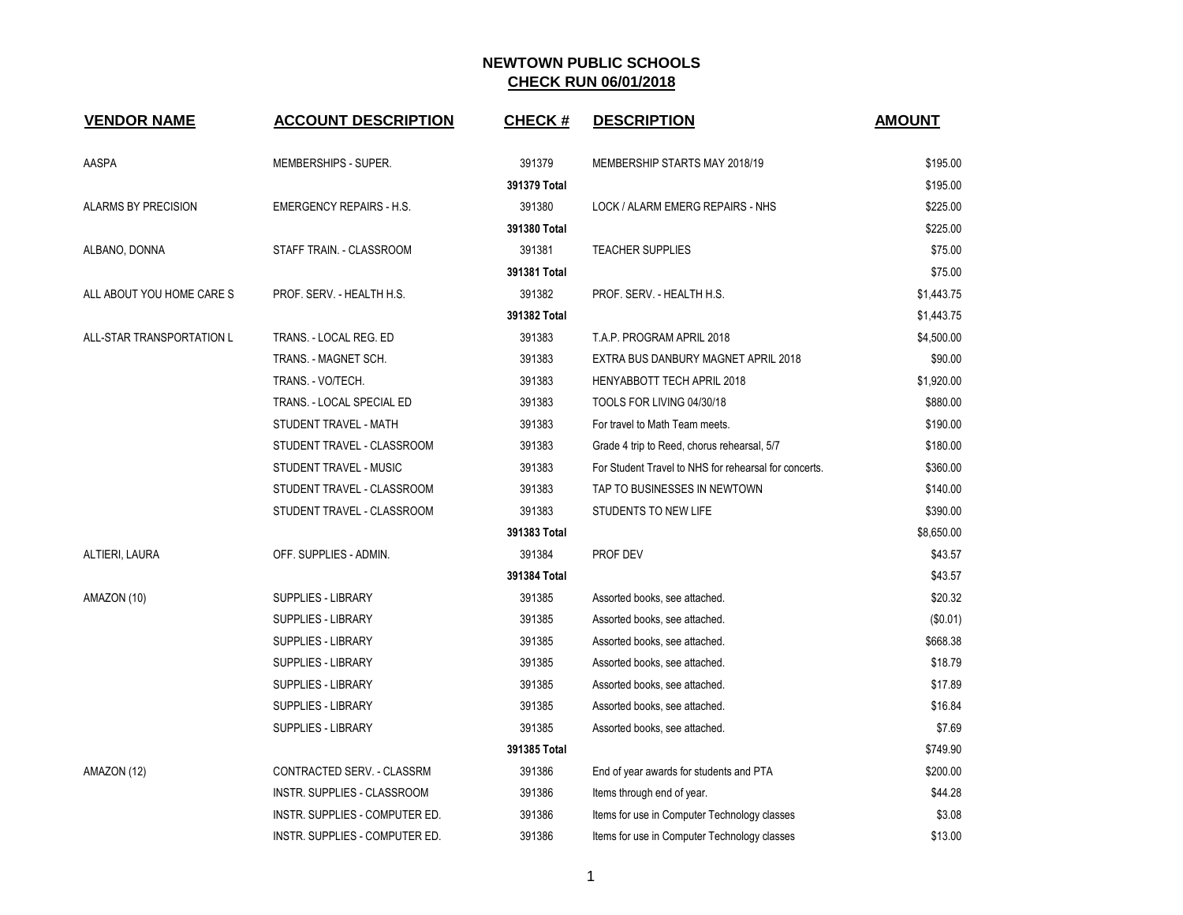| <b>VENDOR NAME</b>         | <b>ACCOUNT DESCRIPTION</b>      | <b>CHECK#</b> | <b>DESCRIPTION</b>                                    | <b>AMOUNT</b> |
|----------------------------|---------------------------------|---------------|-------------------------------------------------------|---------------|
| AASPA                      | MEMBERSHIPS - SUPER.            | 391379        | MEMBERSHIP STARTS MAY 2018/19                         | \$195.00      |
|                            |                                 | 391379 Total  |                                                       | \$195.00      |
| <b>ALARMS BY PRECISION</b> | <b>EMERGENCY REPAIRS - H.S.</b> | 391380        | LOCK / ALARM EMERG REPAIRS - NHS                      | \$225.00      |
|                            |                                 | 391380 Total  |                                                       | \$225.00      |
| ALBANO, DONNA              | STAFF TRAIN. - CLASSROOM        | 391381        | <b>TEACHER SUPPLIES</b>                               | \$75.00       |
|                            |                                 | 391381 Total  |                                                       | \$75.00       |
| ALL ABOUT YOU HOME CARE S  | PROF. SERV. - HEALTH H.S.       | 391382        | PROF. SERV. - HEALTH H.S.                             | \$1,443.75    |
|                            |                                 | 391382 Total  |                                                       | \$1,443.75    |
| ALL-STAR TRANSPORTATION L  | TRANS. - LOCAL REG. ED          | 391383        | T.A.P. PROGRAM APRIL 2018                             | \$4,500.00    |
|                            | TRANS. - MAGNET SCH.            | 391383        | EXTRA BUS DANBURY MAGNET APRIL 2018                   | \$90.00       |
|                            | TRANS. - VO/TECH.               | 391383        | HENYABBOTT TECH APRIL 2018                            | \$1,920.00    |
|                            | TRANS. - LOCAL SPECIAL ED       | 391383        | TOOLS FOR LIVING 04/30/18                             | \$880.00      |
|                            | STUDENT TRAVEL - MATH           | 391383        | For travel to Math Team meets.                        | \$190.00      |
|                            | STUDENT TRAVEL - CLASSROOM      | 391383        | Grade 4 trip to Reed, chorus rehearsal, 5/7           | \$180.00      |
|                            | STUDENT TRAVEL - MUSIC          | 391383        | For Student Travel to NHS for rehearsal for concerts. | \$360.00      |
|                            | STUDENT TRAVEL - CLASSROOM      | 391383        | TAP TO BUSINESSES IN NEWTOWN                          | \$140.00      |
|                            | STUDENT TRAVEL - CLASSROOM      | 391383        | STUDENTS TO NEW LIFE                                  | \$390.00      |
|                            |                                 | 391383 Total  |                                                       | \$8,650.00    |
| ALTIERI, LAURA             | OFF. SUPPLIES - ADMIN.          | 391384        | PROF DEV                                              | \$43.57       |
|                            |                                 | 391384 Total  |                                                       | \$43.57       |
| AMAZON (10)                | <b>SUPPLIES - LIBRARY</b>       | 391385        | Assorted books, see attached.                         | \$20.32       |
|                            | <b>SUPPLIES - LIBRARY</b>       | 391385        | Assorted books, see attached.                         | (\$0.01)      |
|                            | <b>SUPPLIES - LIBRARY</b>       | 391385        | Assorted books, see attached.                         | \$668.38      |
|                            | <b>SUPPLIES - LIBRARY</b>       | 391385        | Assorted books, see attached.                         | \$18.79       |
|                            | <b>SUPPLIES - LIBRARY</b>       | 391385        | Assorted books, see attached.                         | \$17.89       |
|                            | <b>SUPPLIES - LIBRARY</b>       | 391385        | Assorted books, see attached.                         | \$16.84       |
|                            | SUPPLIES - LIBRARY              | 391385        | Assorted books, see attached.                         | \$7.69        |
|                            |                                 | 391385 Total  |                                                       | \$749.90      |
| AMAZON (12)                | CONTRACTED SERV. - CLASSRM      | 391386        | End of year awards for students and PTA               | \$200.00      |
|                            | INSTR. SUPPLIES - CLASSROOM     | 391386        | Items through end of year.                            | \$44.28       |
|                            | INSTR. SUPPLIES - COMPUTER ED.  | 391386        | Items for use in Computer Technology classes          | \$3.08        |
|                            | INSTR. SUPPLIES - COMPUTER ED.  | 391386        | Items for use in Computer Technology classes          | \$13.00       |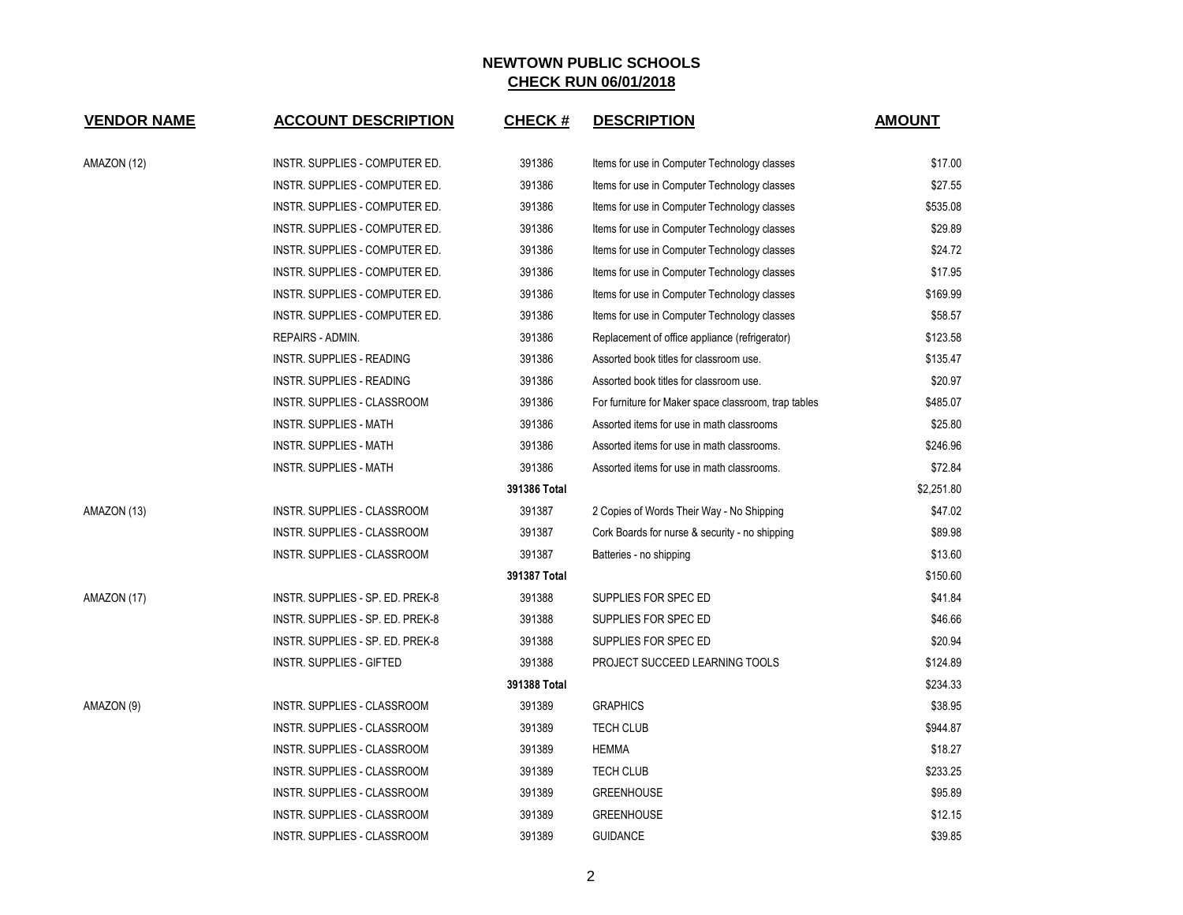| <b>VENDOR NAME</b> | <b>ACCOUNT DESCRIPTION</b>         | <b>CHECK#</b> | <b>DESCRIPTION</b>                                   | <b>AMOUNT</b> |
|--------------------|------------------------------------|---------------|------------------------------------------------------|---------------|
| AMAZON (12)        | INSTR. SUPPLIES - COMPUTER ED.     | 391386        | Items for use in Computer Technology classes         | \$17.00       |
|                    | INSTR. SUPPLIES - COMPUTER ED.     | 391386        | Items for use in Computer Technology classes         | \$27.55       |
|                    | INSTR. SUPPLIES - COMPUTER ED.     | 391386        | Items for use in Computer Technology classes         | \$535.08      |
|                    | INSTR. SUPPLIES - COMPUTER ED.     | 391386        | Items for use in Computer Technology classes         | \$29.89       |
|                    | INSTR. SUPPLIES - COMPUTER ED.     | 391386        | Items for use in Computer Technology classes         | \$24.72       |
|                    | INSTR. SUPPLIES - COMPUTER ED.     | 391386        | Items for use in Computer Technology classes         | \$17.95       |
|                    | INSTR. SUPPLIES - COMPUTER ED.     | 391386        | Items for use in Computer Technology classes         | \$169.99      |
|                    | INSTR. SUPPLIES - COMPUTER ED.     | 391386        | Items for use in Computer Technology classes         | \$58.57       |
|                    | REPAIRS - ADMIN.                   | 391386        | Replacement of office appliance (refrigerator)       | \$123.58      |
|                    | INSTR. SUPPLIES - READING          | 391386        | Assorted book titles for classroom use.              | \$135.47      |
|                    | INSTR. SUPPLIES - READING          | 391386        | Assorted book titles for classroom use.              | \$20.97       |
|                    | INSTR. SUPPLIES - CLASSROOM        | 391386        | For furniture for Maker space classroom, trap tables | \$485.07      |
|                    | <b>INSTR. SUPPLIES - MATH</b>      | 391386        | Assorted items for use in math classrooms            | \$25.80       |
|                    | INSTR. SUPPLIES - MATH             | 391386        | Assorted items for use in math classrooms.           | \$246.96      |
|                    | <b>INSTR. SUPPLIES - MATH</b>      | 391386        | Assorted items for use in math classrooms.           | \$72.84       |
|                    |                                    | 391386 Total  |                                                      | \$2,251.80    |
| AMAZON (13)        | INSTR. SUPPLIES - CLASSROOM        | 391387        | 2 Copies of Words Their Way - No Shipping            | \$47.02       |
|                    | INSTR. SUPPLIES - CLASSROOM        | 391387        | Cork Boards for nurse & security - no shipping       | \$89.98       |
|                    | INSTR. SUPPLIES - CLASSROOM        | 391387        | Batteries - no shipping                              | \$13.60       |
|                    |                                    | 391387 Total  |                                                      | \$150.60      |
| AMAZON (17)        | INSTR. SUPPLIES - SP. ED. PREK-8   | 391388        | SUPPLIES FOR SPEC ED                                 | \$41.84       |
|                    | INSTR. SUPPLIES - SP. ED. PREK-8   | 391388        | SUPPLIES FOR SPEC ED                                 | \$46.66       |
|                    | INSTR. SUPPLIES - SP. ED. PREK-8   | 391388        | SUPPLIES FOR SPEC ED                                 | \$20.94       |
|                    | <b>INSTR. SUPPLIES - GIFTED</b>    | 391388        | PROJECT SUCCEED LEARNING TOOLS                       | \$124.89      |
|                    |                                    | 391388 Total  |                                                      | \$234.33      |
| AMAZON (9)         | INSTR. SUPPLIES - CLASSROOM        | 391389        | <b>GRAPHICS</b>                                      | \$38.95       |
|                    | INSTR. SUPPLIES - CLASSROOM        | 391389        | <b>TECH CLUB</b>                                     | \$944.87      |
|                    | INSTR. SUPPLIES - CLASSROOM        | 391389        | <b>HEMMA</b>                                         | \$18.27       |
|                    | INSTR. SUPPLIES - CLASSROOM        | 391389        | TECH CLUB                                            | \$233.25      |
|                    | INSTR. SUPPLIES - CLASSROOM        | 391389        | <b>GREENHOUSE</b>                                    | \$95.89       |
|                    | <b>INSTR. SUPPLIES - CLASSROOM</b> | 391389        | <b>GREENHOUSE</b>                                    | \$12.15       |
|                    | INSTR. SUPPLIES - CLASSROOM        | 391389        | <b>GUIDANCE</b>                                      | \$39.85       |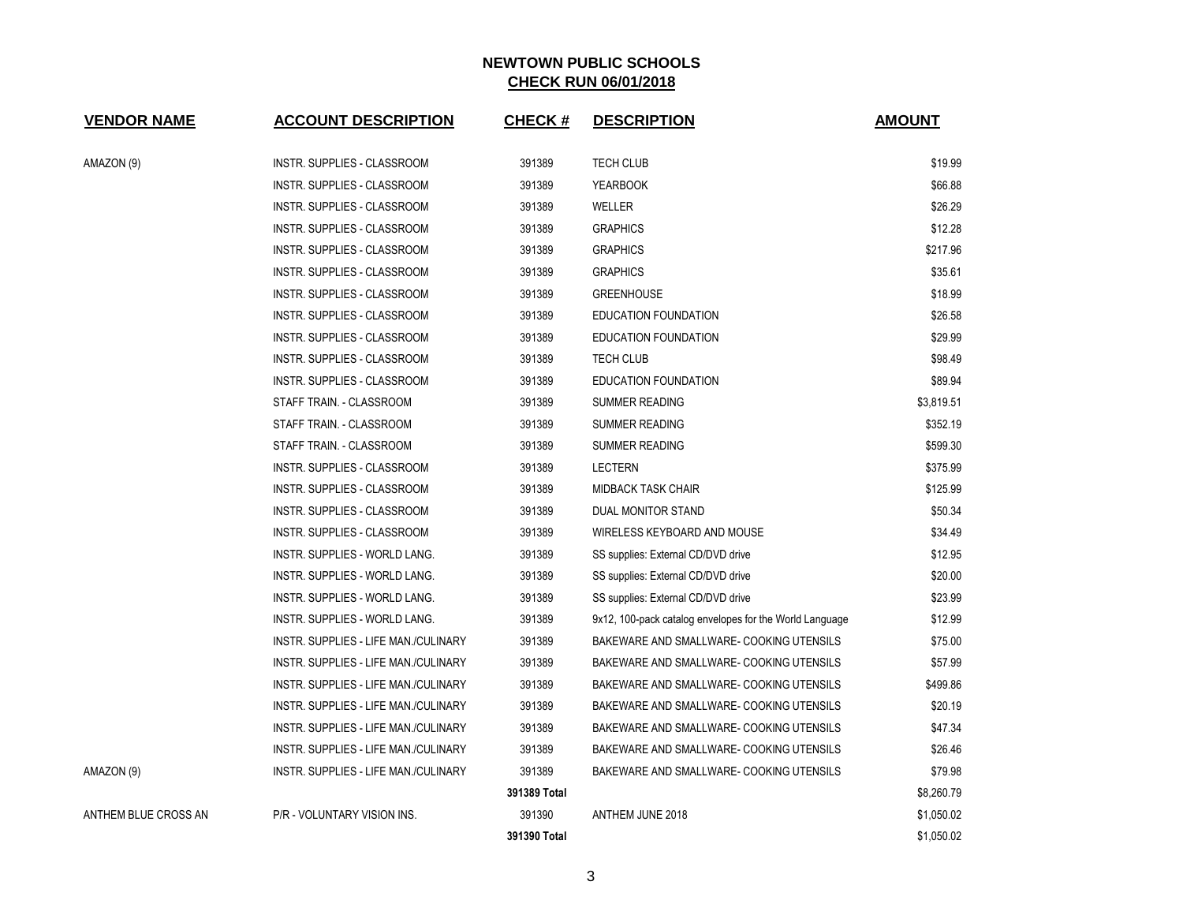| <b>VENDOR NAME</b>   | <b>ACCOUNT DESCRIPTION</b>           | <b>CHECK#</b> | <b>DESCRIPTION</b>                                      | <b>AMOUNT</b> |
|----------------------|--------------------------------------|---------------|---------------------------------------------------------|---------------|
| AMAZON (9)           | INSTR. SUPPLIES - CLASSROOM          | 391389        | <b>TECH CLUB</b>                                        | \$19.99       |
|                      | INSTR. SUPPLIES - CLASSROOM          | 391389        | <b>YEARBOOK</b>                                         | \$66.88       |
|                      | INSTR. SUPPLIES - CLASSROOM          | 391389        | WELLER                                                  | \$26.29       |
|                      | INSTR. SUPPLIES - CLASSROOM          | 391389        | <b>GRAPHICS</b>                                         | \$12.28       |
|                      | INSTR. SUPPLIES - CLASSROOM          | 391389        | <b>GRAPHICS</b>                                         | \$217.96      |
|                      | INSTR. SUPPLIES - CLASSROOM          | 391389        | <b>GRAPHICS</b>                                         | \$35.61       |
|                      | INSTR. SUPPLIES - CLASSROOM          | 391389        | <b>GREENHOUSE</b>                                       | \$18.99       |
|                      | <b>INSTR. SUPPLIES - CLASSROOM</b>   | 391389        | EDUCATION FOUNDATION                                    | \$26.58       |
|                      | INSTR. SUPPLIES - CLASSROOM          | 391389        | EDUCATION FOUNDATION                                    | \$29.99       |
|                      | INSTR. SUPPLIES - CLASSROOM          | 391389        | <b>TECH CLUB</b>                                        | \$98.49       |
|                      | INSTR. SUPPLIES - CLASSROOM          | 391389        | EDUCATION FOUNDATION                                    | \$89.94       |
|                      | STAFF TRAIN. - CLASSROOM             | 391389        | SUMMER READING                                          | \$3,819.51    |
|                      | STAFF TRAIN. - CLASSROOM             | 391389        | <b>SUMMER READING</b>                                   | \$352.19      |
|                      | STAFF TRAIN. - CLASSROOM             | 391389        | <b>SUMMER READING</b>                                   | \$599.30      |
|                      | INSTR. SUPPLIES - CLASSROOM          | 391389        | <b>LECTERN</b>                                          | \$375.99      |
|                      | <b>INSTR. SUPPLIES - CLASSROOM</b>   | 391389        | <b>MIDBACK TASK CHAIR</b>                               | \$125.99      |
|                      | INSTR. SUPPLIES - CLASSROOM          | 391389        | DUAL MONITOR STAND                                      | \$50.34       |
|                      | INSTR. SUPPLIES - CLASSROOM          | 391389        | WIRELESS KEYBOARD AND MOUSE                             | \$34.49       |
|                      | INSTR. SUPPLIES - WORLD LANG.        | 391389        | SS supplies: External CD/DVD drive                      | \$12.95       |
|                      | INSTR. SUPPLIES - WORLD LANG.        | 391389        | SS supplies: External CD/DVD drive                      | \$20.00       |
|                      | INSTR. SUPPLIES - WORLD LANG.        | 391389        | SS supplies: External CD/DVD drive                      | \$23.99       |
|                      | INSTR. SUPPLIES - WORLD LANG.        | 391389        | 9x12, 100-pack catalog envelopes for the World Language | \$12.99       |
|                      | INSTR. SUPPLIES - LIFE MAN./CULINARY | 391389        | BAKEWARE AND SMALLWARE- COOKING UTENSILS                | \$75.00       |
|                      | INSTR. SUPPLIES - LIFE MAN./CULINARY | 391389        | BAKEWARE AND SMALLWARE- COOKING UTENSILS                | \$57.99       |
|                      | INSTR. SUPPLIES - LIFE MAN./CULINARY | 391389        | BAKEWARE AND SMALLWARE- COOKING UTENSILS                | \$499.86      |
|                      | INSTR. SUPPLIES - LIFE MAN./CULINARY | 391389        | BAKEWARE AND SMALLWARE- COOKING UTENSILS                | \$20.19       |
|                      | INSTR. SUPPLIES - LIFE MAN./CULINARY | 391389        | BAKEWARE AND SMALLWARE- COOKING UTENSILS                | \$47.34       |
|                      | INSTR. SUPPLIES - LIFE MAN./CULINARY | 391389        | BAKEWARE AND SMALLWARE- COOKING UTENSILS                | \$26.46       |
| AMAZON (9)           | INSTR. SUPPLIES - LIFE MAN./CULINARY | 391389        | BAKEWARE AND SMALLWARE- COOKING UTENSILS                | \$79.98       |
|                      |                                      | 391389 Total  |                                                         | \$8,260.79    |
| ANTHEM BLUE CROSS AN | P/R - VOLUNTARY VISION INS.          | 391390        | ANTHEM JUNE 2018                                        | \$1,050.02    |
|                      |                                      | 391390 Total  |                                                         | \$1,050.02    |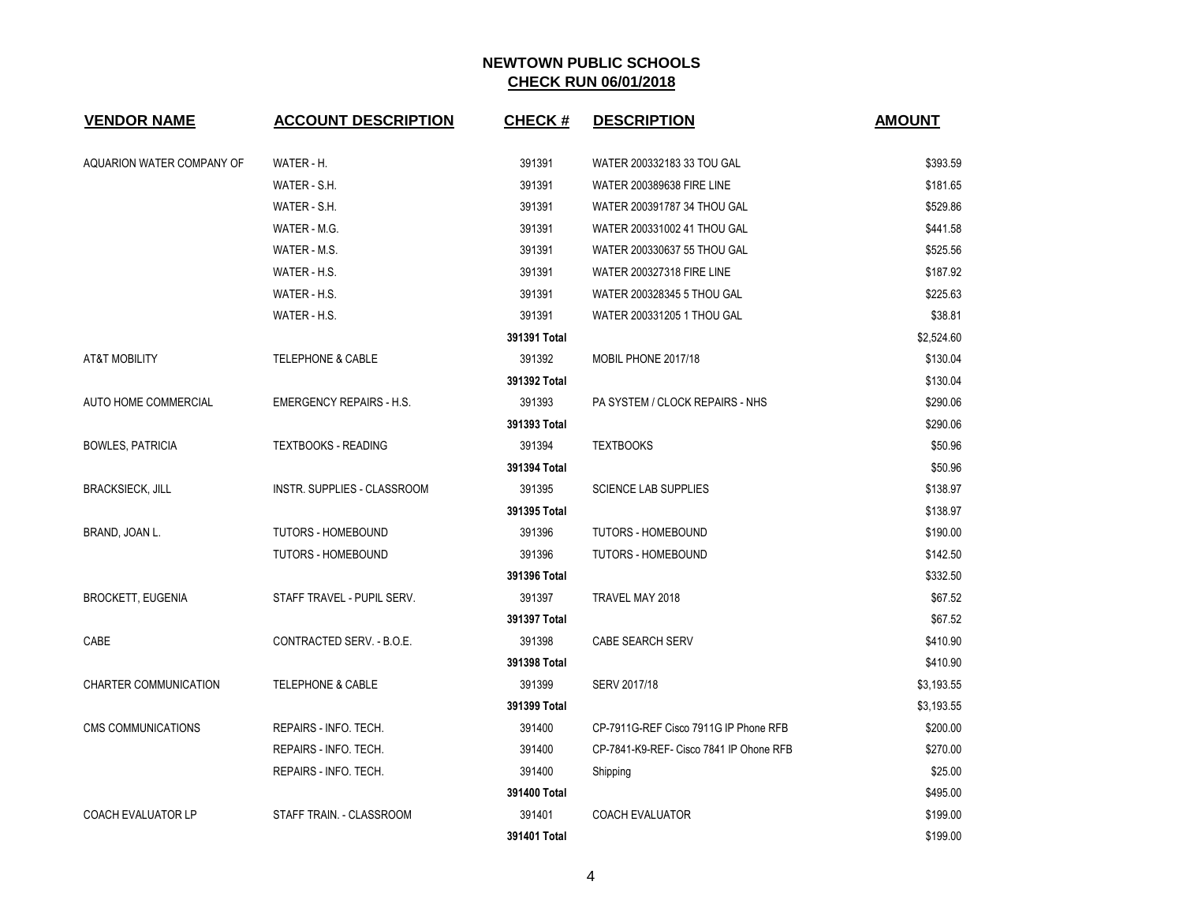| <b>VENDOR NAME</b>        | <b>ACCOUNT DESCRIPTION</b>      | <b>CHECK#</b> | <b>DESCRIPTION</b>                      | <b>AMOUNT</b> |
|---------------------------|---------------------------------|---------------|-----------------------------------------|---------------|
| AQUARION WATER COMPANY OF | WATER - H.                      | 391391        | WATER 200332183 33 TOU GAL              | \$393.59      |
|                           | WATER - S.H.                    | 391391        | WATER 200389638 FIRE LINE               | \$181.65      |
|                           | WATER - S.H.                    | 391391        | WATER 200391787 34 THOU GAL             | \$529.86      |
|                           | WATER - M.G.                    | 391391        | WATER 200331002 41 THOU GAL             | \$441.58      |
|                           | WATER - M.S.                    | 391391        | WATER 200330637 55 THOU GAL             | \$525.56      |
|                           | WATER - H.S.                    | 391391        | WATER 200327318 FIRE LINE               | \$187.92      |
|                           | WATER - H.S.                    | 391391        | WATER 200328345 5 THOU GAL              | \$225.63      |
|                           | WATER - H.S.                    | 391391        | WATER 200331205 1 THOU GAL              | \$38.81       |
|                           |                                 | 391391 Total  |                                         | \$2,524.60    |
| <b>AT&amp;T MOBILITY</b>  | <b>TELEPHONE &amp; CABLE</b>    | 391392        | MOBIL PHONE 2017/18                     | \$130.04      |
|                           |                                 | 391392 Total  |                                         | \$130.04      |
| AUTO HOME COMMERCIAL      | <b>EMERGENCY REPAIRS - H.S.</b> | 391393        | PA SYSTEM / CLOCK REPAIRS - NHS         | \$290.06      |
|                           |                                 | 391393 Total  |                                         | \$290.06      |
| <b>BOWLES, PATRICIA</b>   | <b>TEXTBOOKS - READING</b>      | 391394        | <b>TEXTBOOKS</b>                        | \$50.96       |
|                           |                                 | 391394 Total  |                                         | \$50.96       |
| <b>BRACKSIECK, JILL</b>   | INSTR. SUPPLIES - CLASSROOM     | 391395        | <b>SCIENCE LAB SUPPLIES</b>             | \$138.97      |
|                           |                                 | 391395 Total  |                                         | \$138.97      |
| BRAND, JOAN L.            | TUTORS - HOMEBOUND              | 391396        | <b>TUTORS - HOMEBOUND</b>               | \$190.00      |
|                           | <b>TUTORS - HOMEBOUND</b>       | 391396        | <b>TUTORS - HOMEBOUND</b>               | \$142.50      |
|                           |                                 | 391396 Total  |                                         | \$332.50      |
| <b>BROCKETT, EUGENIA</b>  | STAFF TRAVEL - PUPIL SERV.      | 391397        | TRAVEL MAY 2018                         | \$67.52       |
|                           |                                 | 391397 Total  |                                         | \$67.52       |
| CABE                      | CONTRACTED SERV. - B.O.E.       | 391398        | CABE SEARCH SERV                        | \$410.90      |
|                           |                                 | 391398 Total  |                                         | \$410.90      |
| CHARTER COMMUNICATION     | TELEPHONE & CABLE               | 391399        | SERV 2017/18                            | \$3,193.55    |
|                           |                                 | 391399 Total  |                                         | \$3,193.55    |
| <b>CMS COMMUNICATIONS</b> | REPAIRS - INFO. TECH.           | 391400        | CP-7911G-REF Cisco 7911G IP Phone RFB   | \$200.00      |
|                           | REPAIRS - INFO. TECH.           | 391400        | CP-7841-K9-REF- Cisco 7841 IP Ohone RFB | \$270.00      |
|                           | REPAIRS - INFO. TECH.           | 391400        | Shipping                                | \$25.00       |
|                           |                                 | 391400 Total  |                                         | \$495.00      |
| <b>COACH EVALUATOR LP</b> | STAFF TRAIN. - CLASSROOM        | 391401        | COACH EVALUATOR                         | \$199.00      |
|                           |                                 | 391401 Total  |                                         | \$199.00      |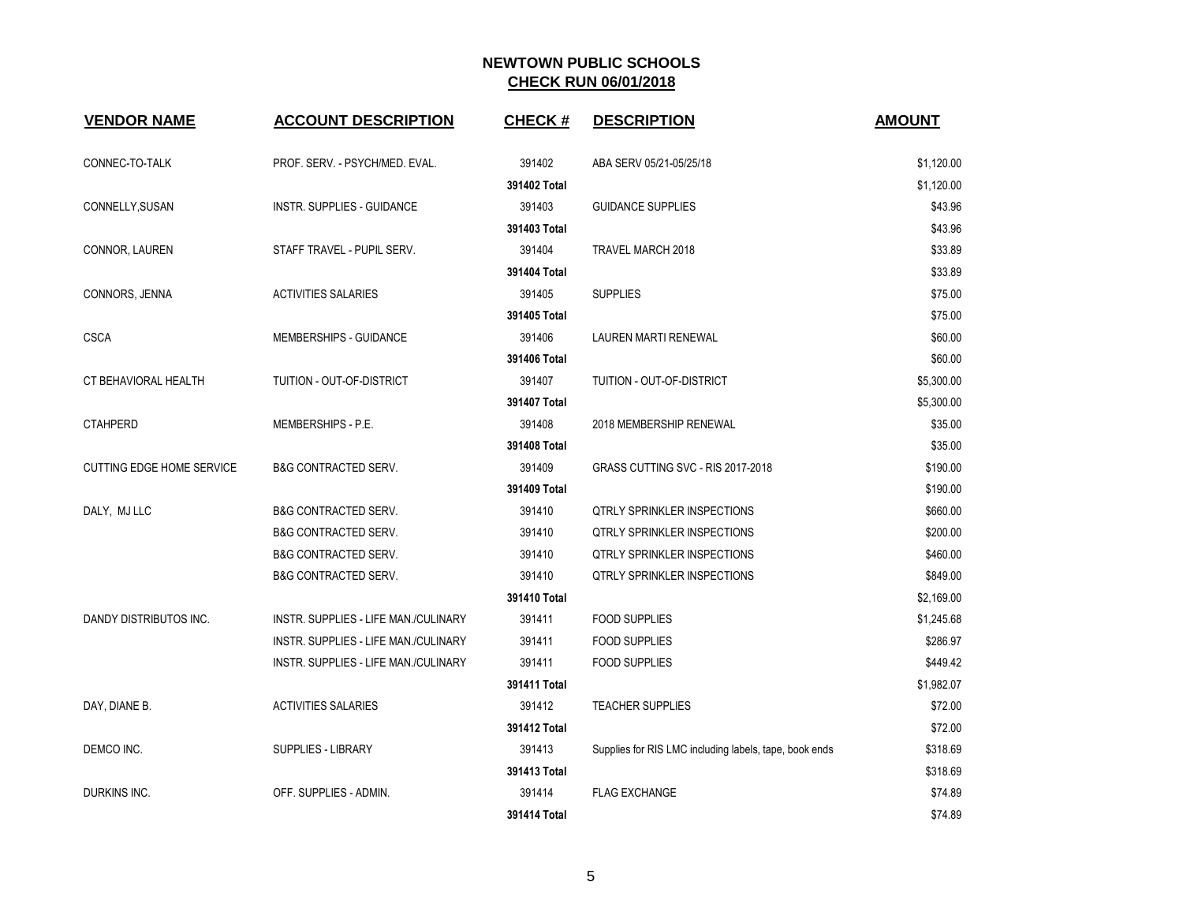| <b>VENDOR NAME</b>               | <b>ACCOUNT DESCRIPTION</b>           | <b>CHECK#</b> | <b>DESCRIPTION</b>                                     | <b>AMOUNT</b> |
|----------------------------------|--------------------------------------|---------------|--------------------------------------------------------|---------------|
| CONNEC-TO-TALK                   | PROF. SERV. - PSYCH/MED. EVAL.       | 391402        | ABA SERV 05/21-05/25/18                                | \$1,120.00    |
|                                  |                                      | 391402 Total  |                                                        | \$1,120.00    |
| CONNELLY, SUSAN                  | INSTR. SUPPLIES - GUIDANCE           | 391403        | <b>GUIDANCE SUPPLIES</b>                               | \$43.96       |
|                                  |                                      | 391403 Total  |                                                        | \$43.96       |
| CONNOR, LAUREN                   | STAFF TRAVEL - PUPIL SERV.           | 391404        | TRAVEL MARCH 2018                                      | \$33.89       |
|                                  |                                      | 391404 Total  |                                                        | \$33.89       |
| CONNORS, JENNA                   | <b>ACTIVITIES SALARIES</b>           | 391405        | <b>SUPPLIES</b>                                        | \$75.00       |
|                                  |                                      | 391405 Total  |                                                        | \$75.00       |
| <b>CSCA</b>                      | MEMBERSHIPS - GUIDANCE               | 391406        | LAUREN MARTI RENEWAL                                   | \$60.00       |
|                                  |                                      | 391406 Total  |                                                        | \$60.00       |
| CT BEHAVIORAL HEALTH             | TUITION - OUT-OF-DISTRICT            | 391407        | TUITION - OUT-OF-DISTRICT                              | \$5,300.00    |
|                                  |                                      | 391407 Total  |                                                        | \$5,300.00    |
| <b>CTAHPERD</b>                  | MEMBERSHIPS - P.E.                   | 391408        | 2018 MEMBERSHIP RENEWAL                                | \$35.00       |
|                                  |                                      | 391408 Total  |                                                        | \$35.00       |
| <b>CUTTING EDGE HOME SERVICE</b> | <b>B&amp;G CONTRACTED SERV.</b>      | 391409        | GRASS CUTTING SVC - RIS 2017-2018                      | \$190.00      |
|                                  |                                      | 391409 Total  |                                                        | \$190.00      |
| DALY, MJ LLC                     | <b>B&amp;G CONTRACTED SERV.</b>      | 391410        | <b>QTRLY SPRINKLER INSPECTIONS</b>                     | \$660.00      |
|                                  | <b>B&amp;G CONTRACTED SERV.</b>      | 391410        | <b>QTRLY SPRINKLER INSPECTIONS</b>                     | \$200.00      |
|                                  | <b>B&amp;G CONTRACTED SERV.</b>      | 391410        | <b>QTRLY SPRINKLER INSPECTIONS</b>                     | \$460.00      |
|                                  | <b>B&amp;G CONTRACTED SERV.</b>      | 391410        | <b>QTRLY SPRINKLER INSPECTIONS</b>                     | \$849.00      |
|                                  |                                      | 391410 Total  |                                                        | \$2,169.00    |
| DANDY DISTRIBUTOS INC.           | INSTR. SUPPLIES - LIFE MAN./CULINARY | 391411        | <b>FOOD SUPPLIES</b>                                   | \$1,245.68    |
|                                  | INSTR. SUPPLIES - LIFE MAN./CULINARY | 391411        | <b>FOOD SUPPLIES</b>                                   | \$286.97      |
|                                  | INSTR. SUPPLIES - LIFE MAN./CULINARY | 391411        | <b>FOOD SUPPLIES</b>                                   | \$449.42      |
|                                  |                                      | 391411 Total  |                                                        | \$1,982.07    |
| DAY, DIANE B.                    | <b>ACTIVITIES SALARIES</b>           | 391412        | <b>TEACHER SUPPLIES</b>                                | \$72.00       |
|                                  |                                      | 391412 Total  |                                                        | \$72.00       |
| DEMCO INC.                       | SUPPLIES - LIBRARY                   | 391413        | Supplies for RIS LMC including labels, tape, book ends | \$318.69      |
|                                  |                                      | 391413 Total  |                                                        | \$318.69      |
| DURKINS INC.                     | OFF. SUPPLIES - ADMIN.               | 391414        | <b>FLAG EXCHANGE</b>                                   | \$74.89       |
|                                  |                                      | 391414 Total  |                                                        | \$74.89       |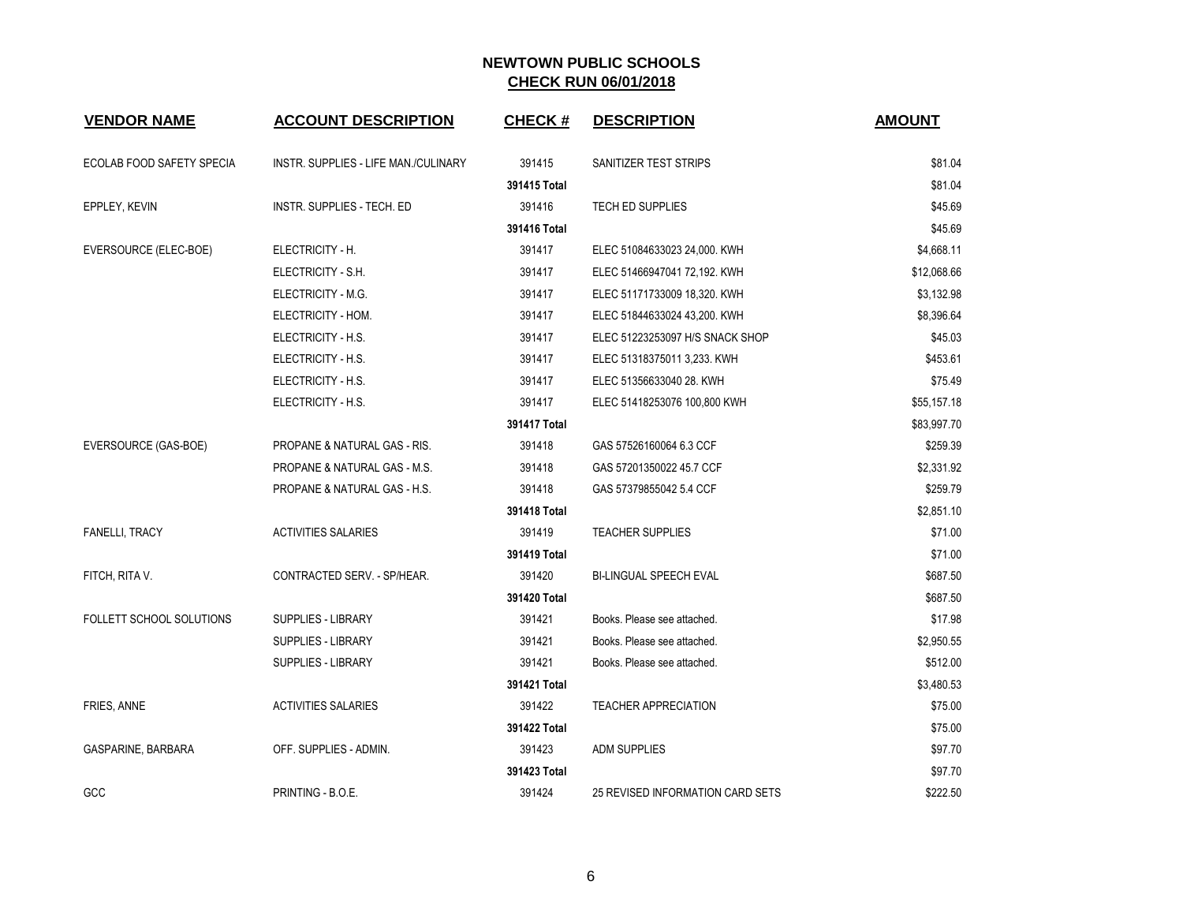| <b>VENDOR NAME</b>              | <b>ACCOUNT DESCRIPTION</b>              | <b>CHECK#</b> | <b>DESCRIPTION</b>               | <b>AMOUNT</b> |
|---------------------------------|-----------------------------------------|---------------|----------------------------------|---------------|
| ECOLAB FOOD SAFETY SPECIA       | INSTR. SUPPLIES - LIFE MAN./CULINARY    | 391415        | SANITIZER TEST STRIPS            | \$81.04       |
|                                 |                                         | 391415 Total  |                                  | \$81.04       |
| EPPLEY, KEVIN                   | INSTR. SUPPLIES - TECH. ED              | 391416        | <b>TECH ED SUPPLIES</b>          | \$45.69       |
|                                 |                                         | 391416 Total  |                                  | \$45.69       |
| EVERSOURCE (ELEC-BOE)           | ELECTRICITY - H.                        | 391417        | ELEC 51084633023 24,000. KWH     | \$4,668.11    |
|                                 | ELECTRICITY - S.H.                      | 391417        | ELEC 51466947041 72,192. KWH     | \$12,068.66   |
|                                 | ELECTRICITY - M.G.                      | 391417        | ELEC 51171733009 18,320. KWH     | \$3,132.98    |
|                                 | ELECTRICITY - HOM.                      | 391417        | ELEC 51844633024 43,200. KWH     | \$8,396.64    |
|                                 | ELECTRICITY - H.S.                      | 391417        | ELEC 51223253097 H/S SNACK SHOP  | \$45.03       |
|                                 | ELECTRICITY - H.S.                      | 391417        | ELEC 51318375011 3,233. KWH      | \$453.61      |
|                                 | ELECTRICITY - H.S.                      | 391417        | ELEC 51356633040 28. KWH         | \$75.49       |
|                                 | ELECTRICITY - H.S.                      | 391417        | ELEC 51418253076 100,800 KWH     | \$55,157.18   |
|                                 |                                         | 391417 Total  |                                  | \$83,997.70   |
| EVERSOURCE (GAS-BOE)            | PROPANE & NATURAL GAS - RIS.            | 391418        | GAS 57526160064 6.3 CCF          | \$259.39      |
|                                 | <b>PROPANE &amp; NATURAL GAS - M.S.</b> | 391418        | GAS 57201350022 45.7 CCF         | \$2,331.92    |
|                                 | PROPANE & NATURAL GAS - H.S.            | 391418        | GAS 57379855042 5.4 CCF          | \$259.79      |
|                                 |                                         | 391418 Total  |                                  | \$2,851.10    |
| <b>FANELLI, TRACY</b>           | <b>ACTIVITIES SALARIES</b>              | 391419        | <b>TEACHER SUPPLIES</b>          | \$71.00       |
|                                 |                                         | 391419 Total  |                                  | \$71.00       |
| FITCH, RITA V.                  | CONTRACTED SERV. - SP/HEAR.             | 391420        | <b>BI-LINGUAL SPEECH EVAL</b>    | \$687.50      |
|                                 |                                         | 391420 Total  |                                  | \$687.50      |
| <b>FOLLETT SCHOOL SOLUTIONS</b> | <b>SUPPLIES - LIBRARY</b>               | 391421        | Books. Please see attached.      | \$17.98       |
|                                 | <b>SUPPLIES - LIBRARY</b>               | 391421        | Books. Please see attached.      | \$2,950.55    |
|                                 | <b>SUPPLIES - LIBRARY</b>               | 391421        | Books. Please see attached.      | \$512.00      |
|                                 |                                         | 391421 Total  |                                  | \$3,480.53    |
| FRIES, ANNE                     | <b>ACTIVITIES SALARIES</b>              | 391422        | <b>TEACHER APPRECIATION</b>      | \$75.00       |
|                                 |                                         | 391422 Total  |                                  | \$75.00       |
| GASPARINE, BARBARA              | OFF. SUPPLIES - ADMIN.                  | 391423        | <b>ADM SUPPLIES</b>              | \$97.70       |
|                                 |                                         | 391423 Total  |                                  | \$97.70       |
| GCC                             | PRINTING - B.O.E.                       | 391424        | 25 REVISED INFORMATION CARD SETS | \$222.50      |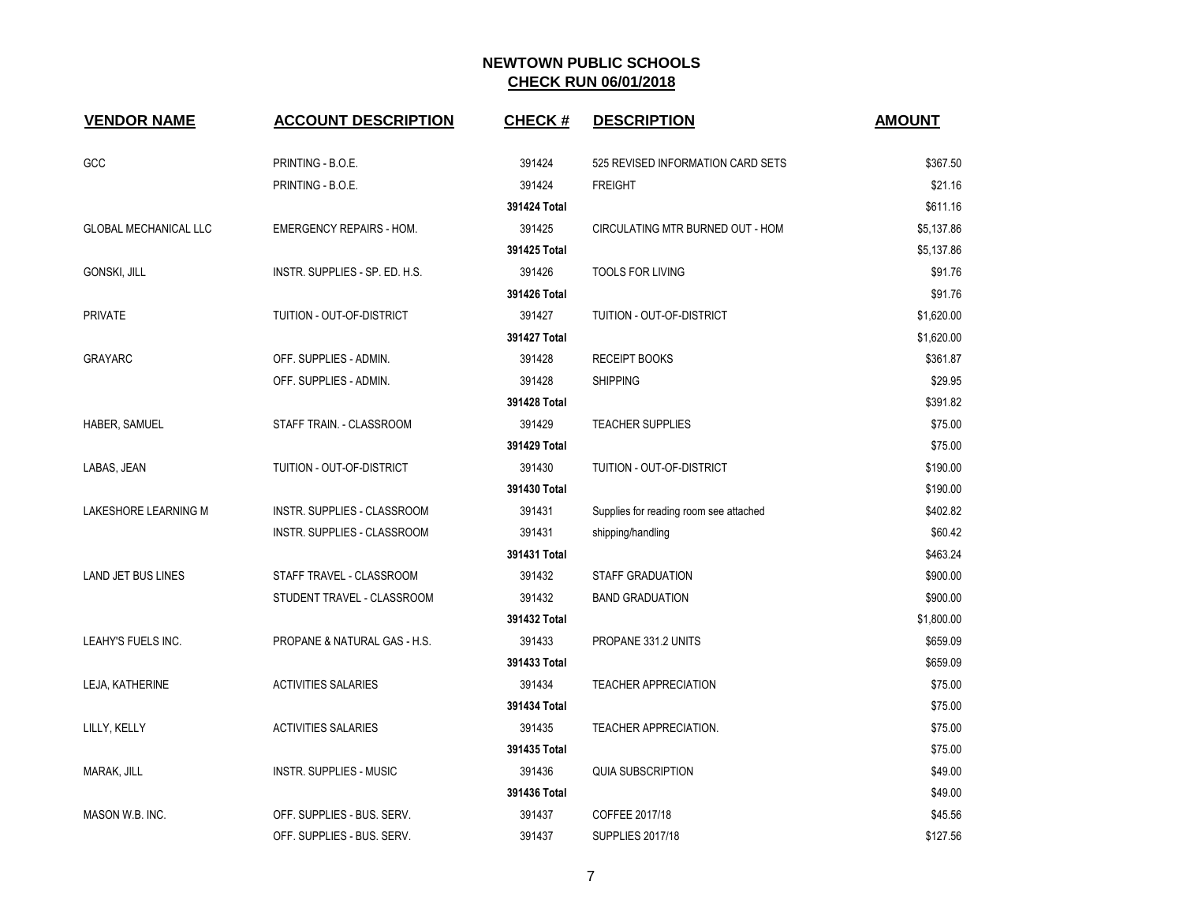| <b>VENDOR NAME</b>           | <b>ACCOUNT DESCRIPTION</b>      | <b>CHECK#</b> | <b>DESCRIPTION</b>                     | <b>AMOUNT</b> |
|------------------------------|---------------------------------|---------------|----------------------------------------|---------------|
| GCC                          | PRINTING - B.O.E.               | 391424        | 525 REVISED INFORMATION CARD SETS      | \$367.50      |
|                              | PRINTING - B.O.E.               | 391424        | <b>FREIGHT</b>                         | \$21.16       |
|                              |                                 | 391424 Total  |                                        | \$611.16      |
| <b>GLOBAL MECHANICAL LLC</b> | <b>EMERGENCY REPAIRS - HOM.</b> | 391425        | CIRCULATING MTR BURNED OUT - HOM       | \$5,137.86    |
|                              |                                 | 391425 Total  |                                        | \$5,137.86    |
| GONSKI, JILL                 | INSTR. SUPPLIES - SP. ED. H.S.  | 391426        | <b>TOOLS FOR LIVING</b>                | \$91.76       |
|                              |                                 | 391426 Total  |                                        | \$91.76       |
| <b>PRIVATE</b>               | TUITION - OUT-OF-DISTRICT       | 391427        | TUITION - OUT-OF-DISTRICT              | \$1,620.00    |
|                              |                                 | 391427 Total  |                                        | \$1,620.00    |
| <b>GRAYARC</b>               | OFF. SUPPLIES - ADMIN.          | 391428        | <b>RECEIPT BOOKS</b>                   | \$361.87      |
|                              | OFF. SUPPLIES - ADMIN.          | 391428        | <b>SHIPPING</b>                        | \$29.95       |
|                              |                                 | 391428 Total  |                                        | \$391.82      |
| HABER, SAMUEL                | STAFF TRAIN. - CLASSROOM        | 391429        | <b>TEACHER SUPPLIES</b>                | \$75.00       |
|                              |                                 | 391429 Total  |                                        | \$75.00       |
| LABAS, JEAN                  | TUITION - OUT-OF-DISTRICT       | 391430        | TUITION - OUT-OF-DISTRICT              | \$190.00      |
|                              |                                 | 391430 Total  |                                        | \$190.00      |
| LAKESHORE LEARNING M         | INSTR. SUPPLIES - CLASSROOM     | 391431        | Supplies for reading room see attached | \$402.82      |
|                              | INSTR. SUPPLIES - CLASSROOM     | 391431        | shipping/handling                      | \$60.42       |
|                              |                                 | 391431 Total  |                                        | \$463.24      |
| <b>LAND JET BUS LINES</b>    | STAFF TRAVEL - CLASSROOM        | 391432        | <b>STAFF GRADUATION</b>                | \$900.00      |
|                              | STUDENT TRAVEL - CLASSROOM      | 391432        | <b>BAND GRADUATION</b>                 | \$900.00      |
|                              |                                 | 391432 Total  |                                        | \$1,800.00    |
| LEAHY'S FUELS INC.           | PROPANE & NATURAL GAS - H.S.    | 391433        | PROPANE 331.2 UNITS                    | \$659.09      |
|                              |                                 | 391433 Total  |                                        | \$659.09      |
| LEJA, KATHERINE              | <b>ACTIVITIES SALARIES</b>      | 391434        | <b>TEACHER APPRECIATION</b>            | \$75.00       |
|                              |                                 | 391434 Total  |                                        | \$75.00       |
| LILLY, KELLY                 | <b>ACTIVITIES SALARIES</b>      | 391435        | TEACHER APPRECIATION.                  | \$75.00       |
|                              |                                 | 391435 Total  |                                        | \$75.00       |
| MARAK, JILL                  | <b>INSTR. SUPPLIES - MUSIC</b>  | 391436        | <b>QUIA SUBSCRIPTION</b>               | \$49.00       |
|                              |                                 | 391436 Total  |                                        | \$49.00       |
| MASON W.B. INC.              | OFF. SUPPLIES - BUS. SERV.      | 391437        | COFFEE 2017/18                         | \$45.56       |
|                              | OFF. SUPPLIES - BUS. SERV.      | 391437        | <b>SUPPLIES 2017/18</b>                | \$127.56      |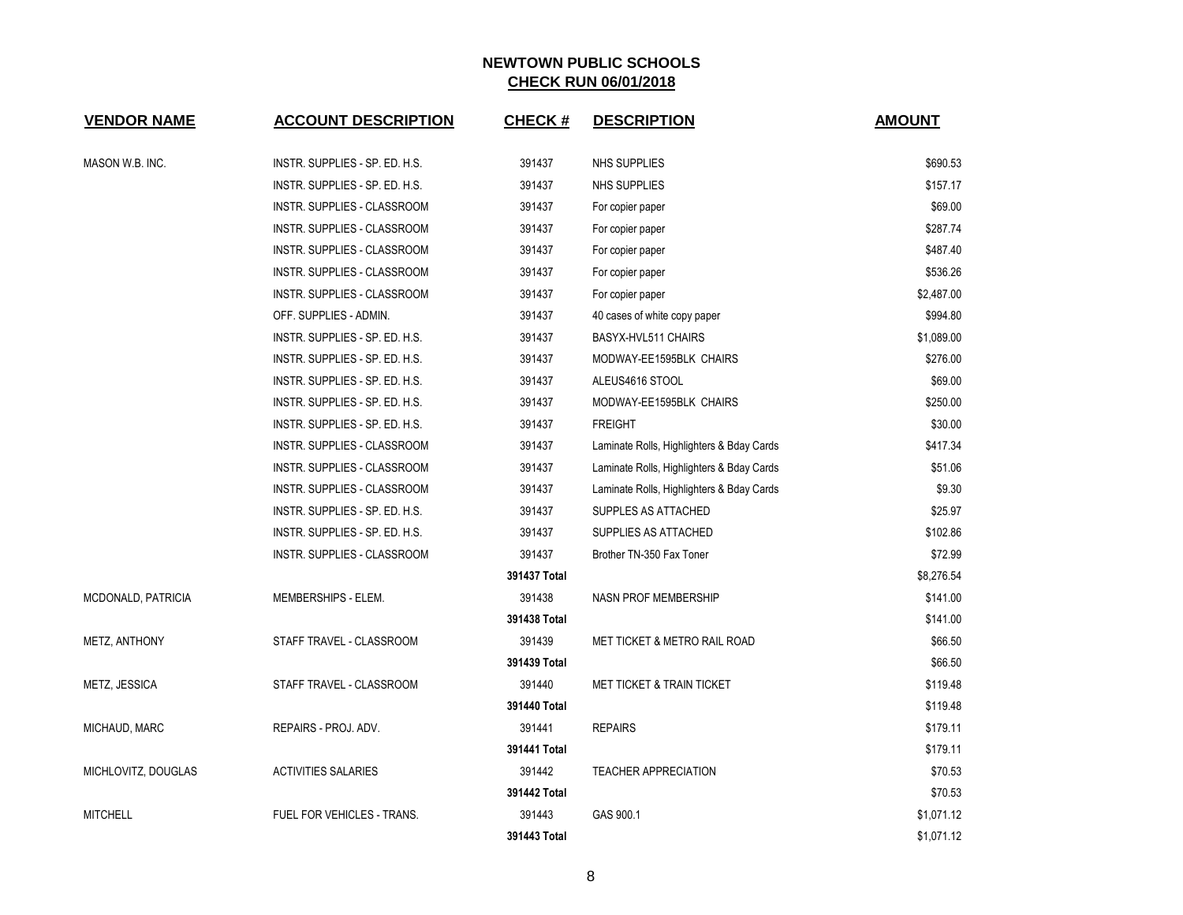| <b>VENDOR NAME</b>  | <b>ACCOUNT DESCRIPTION</b>         | <b>CHECK#</b> | <b>DESCRIPTION</b>                        | <b>AMOUNT</b> |
|---------------------|------------------------------------|---------------|-------------------------------------------|---------------|
| MASON W.B. INC.     | INSTR. SUPPLIES - SP. ED. H.S.     | 391437        | NHS SUPPLIES                              | \$690.53      |
|                     | INSTR. SUPPLIES - SP. ED. H.S.     | 391437        | NHS SUPPLIES                              | \$157.17      |
|                     | INSTR. SUPPLIES - CLASSROOM        | 391437        | For copier paper                          | \$69.00       |
|                     | INSTR. SUPPLIES - CLASSROOM        | 391437        | For copier paper                          | \$287.74      |
|                     | INSTR. SUPPLIES - CLASSROOM        | 391437        | For copier paper                          | \$487.40      |
|                     | INSTR. SUPPLIES - CLASSROOM        | 391437        | For copier paper                          | \$536.26      |
|                     | INSTR. SUPPLIES - CLASSROOM        | 391437        | For copier paper                          | \$2,487.00    |
|                     | OFF. SUPPLIES - ADMIN.             | 391437        | 40 cases of white copy paper              | \$994.80      |
|                     | INSTR. SUPPLIES - SP. ED. H.S.     | 391437        | BASYX-HVL511 CHAIRS                       | \$1,089.00    |
|                     | INSTR. SUPPLIES - SP. ED. H.S.     | 391437        | MODWAY-EE1595BLK CHAIRS                   | \$276.00      |
|                     | INSTR. SUPPLIES - SP. ED. H.S.     | 391437        | ALEUS4616 STOOL                           | \$69.00       |
|                     | INSTR. SUPPLIES - SP. ED. H.S.     | 391437        | MODWAY-EE1595BLK CHAIRS                   | \$250.00      |
|                     | INSTR. SUPPLIES - SP. ED. H.S.     | 391437        | <b>FREIGHT</b>                            | \$30.00       |
|                     | INSTR. SUPPLIES - CLASSROOM        | 391437        | Laminate Rolls, Highlighters & Bday Cards | \$417.34      |
|                     | INSTR. SUPPLIES - CLASSROOM        | 391437        | Laminate Rolls, Highlighters & Bday Cards | \$51.06       |
|                     | <b>INSTR. SUPPLIES - CLASSROOM</b> | 391437        | Laminate Rolls, Highlighters & Bday Cards | \$9.30        |
|                     | INSTR. SUPPLIES - SP. ED. H.S.     | 391437        | SUPPLES AS ATTACHED                       | \$25.97       |
|                     | INSTR. SUPPLIES - SP. ED. H.S.     | 391437        | SUPPLIES AS ATTACHED                      | \$102.86      |
|                     | INSTR. SUPPLIES - CLASSROOM        | 391437        | Brother TN-350 Fax Toner                  | \$72.99       |
|                     |                                    | 391437 Total  |                                           | \$8,276.54    |
| MCDONALD, PATRICIA  | MEMBERSHIPS - ELEM.                | 391438        | <b>NASN PROF MEMBERSHIP</b>               | \$141.00      |
|                     |                                    | 391438 Total  |                                           | \$141.00      |
| METZ, ANTHONY       | STAFF TRAVEL - CLASSROOM           | 391439        | <b>MET TICKET &amp; METRO RAIL ROAD</b>   | \$66.50       |
|                     |                                    | 391439 Total  |                                           | \$66.50       |
| METZ, JESSICA       | STAFF TRAVEL - CLASSROOM           | 391440        | MET TICKET & TRAIN TICKET                 | \$119.48      |
|                     |                                    | 391440 Total  |                                           | \$119.48      |
| MICHAUD, MARC       | REPAIRS - PROJ. ADV.               | 391441        | <b>REPAIRS</b>                            | \$179.11      |
|                     |                                    | 391441 Total  |                                           | \$179.11      |
| MICHLOVITZ, DOUGLAS | <b>ACTIVITIES SALARIES</b>         | 391442        | <b>TEACHER APPRECIATION</b>               | \$70.53       |
|                     |                                    | 391442 Total  |                                           | \$70.53       |
| <b>MITCHELL</b>     | FUEL FOR VEHICLES - TRANS.         | 391443        | GAS 900.1                                 | \$1,071.12    |
|                     |                                    | 391443 Total  |                                           | \$1,071.12    |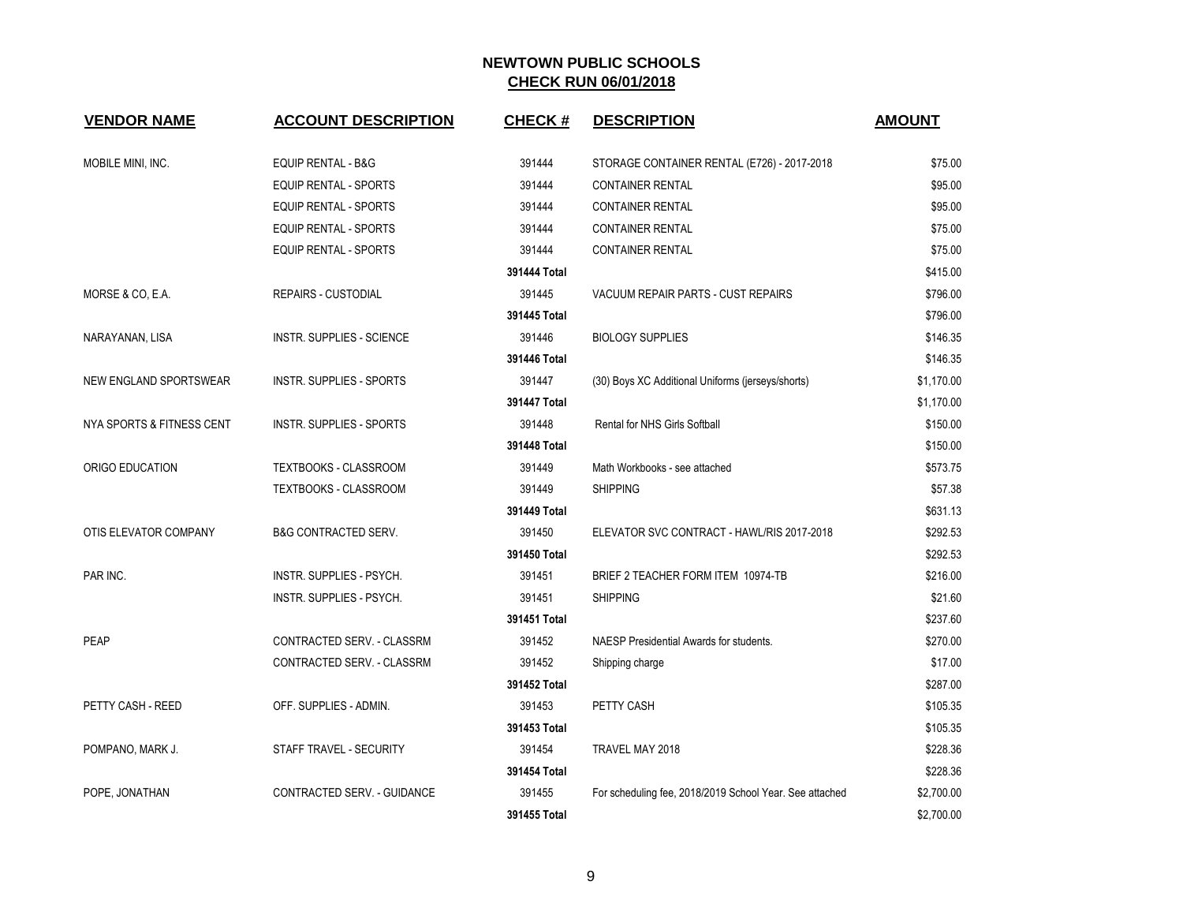| <b>VENDOR NAME</b>        | <b>ACCOUNT DESCRIPTION</b>       | <b>CHECK#</b> | <b>DESCRIPTION</b>                                      | <b>AMOUNT</b> |
|---------------------------|----------------------------------|---------------|---------------------------------------------------------|---------------|
|                           |                                  |               |                                                         |               |
| MOBILE MINI, INC.         | <b>EQUIP RENTAL - B&amp;G</b>    | 391444        | STORAGE CONTAINER RENTAL (E726) - 2017-2018             | \$75.00       |
|                           | EQUIP RENTAL - SPORTS            | 391444        | <b>CONTAINER RENTAL</b>                                 | \$95.00       |
|                           | <b>EQUIP RENTAL - SPORTS</b>     | 391444        | <b>CONTAINER RENTAL</b>                                 | \$95.00       |
|                           | <b>EQUIP RENTAL - SPORTS</b>     | 391444        | <b>CONTAINER RENTAL</b>                                 | \$75.00       |
|                           | EQUIP RENTAL - SPORTS            | 391444        | <b>CONTAINER RENTAL</b>                                 | \$75.00       |
|                           |                                  | 391444 Total  |                                                         | \$415.00      |
| MORSE & CO, E.A.          | <b>REPAIRS - CUSTODIAL</b>       | 391445        | VACUUM REPAIR PARTS - CUST REPAIRS                      | \$796.00      |
|                           |                                  | 391445 Total  |                                                         | \$796.00      |
| NARAYANAN, LISA           | <b>INSTR. SUPPLIES - SCIENCE</b> | 391446        | <b>BIOLOGY SUPPLIES</b>                                 | \$146.35      |
|                           |                                  | 391446 Total  |                                                         | \$146.35      |
| NEW ENGLAND SPORTSWEAR    | <b>INSTR. SUPPLIES - SPORTS</b>  | 391447        | (30) Boys XC Additional Uniforms (jerseys/shorts)       | \$1,170.00    |
|                           |                                  | 391447 Total  |                                                         | \$1,170.00    |
| NYA SPORTS & FITNESS CENT | <b>INSTR. SUPPLIES - SPORTS</b>  | 391448        | Rental for NHS Girls Softball                           | \$150.00      |
|                           |                                  | 391448 Total  |                                                         | \$150.00      |
| ORIGO EDUCATION           | TEXTBOOKS - CLASSROOM            | 391449        | Math Workbooks - see attached                           | \$573.75      |
|                           | TEXTBOOKS - CLASSROOM            | 391449        | <b>SHIPPING</b>                                         | \$57.38       |
|                           |                                  | 391449 Total  |                                                         | \$631.13      |
| OTIS ELEVATOR COMPANY     | <b>B&amp;G CONTRACTED SERV.</b>  | 391450        | ELEVATOR SVC CONTRACT - HAWL/RIS 2017-2018              | \$292.53      |
|                           |                                  | 391450 Total  |                                                         | \$292.53      |
| PAR INC.                  | INSTR. SUPPLIES - PSYCH.         | 391451        | BRIEF 2 TEACHER FORM ITEM 10974-TB                      | \$216.00      |
|                           | INSTR. SUPPLIES - PSYCH.         | 391451        | <b>SHIPPING</b>                                         | \$21.60       |
|                           |                                  | 391451 Total  |                                                         | \$237.60      |
| <b>PEAP</b>               | CONTRACTED SERV. - CLASSRM       | 391452        | NAESP Presidential Awards for students.                 | \$270.00      |
|                           | CONTRACTED SERV. - CLASSRM       | 391452        | Shipping charge                                         | \$17.00       |
|                           |                                  | 391452 Total  |                                                         | \$287.00      |
| PETTY CASH - REED         | OFF. SUPPLIES - ADMIN.           | 391453        | PETTY CASH                                              | \$105.35      |
|                           |                                  | 391453 Total  |                                                         | \$105.35      |
| POMPANO, MARK J.          | STAFF TRAVEL - SECURITY          | 391454        | TRAVEL MAY 2018                                         | \$228.36      |
|                           |                                  | 391454 Total  |                                                         | \$228.36      |
| POPE, JONATHAN            | CONTRACTED SERV. - GUIDANCE      | 391455        | For scheduling fee, 2018/2019 School Year. See attached | \$2,700.00    |
|                           |                                  | 391455 Total  |                                                         | \$2,700.00    |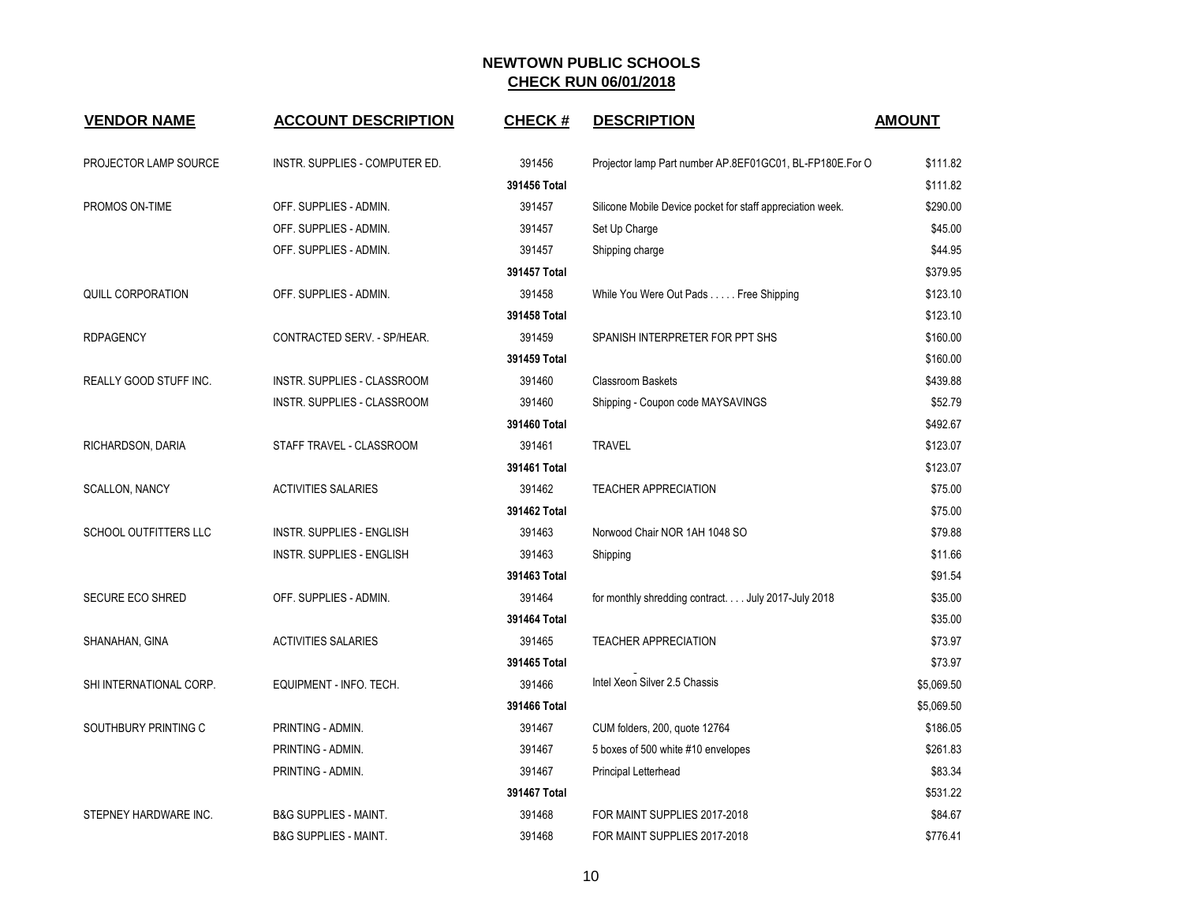| <b>VENDOR NAME</b>           | <b>ACCOUNT DESCRIPTION</b>       | <b>CHECK#</b> | <b>DESCRIPTION</b>                                         | <b>AMOUNT</b> |
|------------------------------|----------------------------------|---------------|------------------------------------------------------------|---------------|
|                              |                                  |               |                                                            |               |
| PROJECTOR LAMP SOURCE        | INSTR. SUPPLIES - COMPUTER ED.   | 391456        | Projector lamp Part number AP.8EF01GC01, BL-FP180E.For O   | \$111.82      |
|                              |                                  | 391456 Total  |                                                            | \$111.82      |
| PROMOS ON-TIME               | OFF. SUPPLIES - ADMIN.           | 391457        | Silicone Mobile Device pocket for staff appreciation week. | \$290.00      |
|                              | OFF. SUPPLIES - ADMIN.           | 391457        | Set Up Charge                                              | \$45.00       |
|                              | OFF. SUPPLIES - ADMIN.           | 391457        | Shipping charge                                            | \$44.95       |
|                              |                                  | 391457 Total  |                                                            | \$379.95      |
| QUILL CORPORATION            | OFF. SUPPLIES - ADMIN.           | 391458        | While You Were Out Pads Free Shipping                      | \$123.10      |
|                              |                                  | 391458 Total  |                                                            | \$123.10      |
| <b>RDPAGENCY</b>             | CONTRACTED SERV. - SP/HEAR.      | 391459        | SPANISH INTERPRETER FOR PPT SHS                            | \$160.00      |
|                              |                                  | 391459 Total  |                                                            | \$160.00      |
| REALLY GOOD STUFF INC.       | INSTR. SUPPLIES - CLASSROOM      | 391460        | <b>Classroom Baskets</b>                                   | \$439.88      |
|                              | INSTR. SUPPLIES - CLASSROOM      | 391460        | Shipping - Coupon code MAYSAVINGS                          | \$52.79       |
|                              |                                  | 391460 Total  |                                                            | \$492.67      |
| RICHARDSON, DARIA            | STAFF TRAVEL - CLASSROOM         | 391461        | <b>TRAVEL</b>                                              | \$123.07      |
|                              |                                  | 391461 Total  |                                                            | \$123.07      |
| <b>SCALLON, NANCY</b>        | <b>ACTIVITIES SALARIES</b>       | 391462        | <b>TEACHER APPRECIATION</b>                                | \$75.00       |
|                              |                                  | 391462 Total  |                                                            | \$75.00       |
| <b>SCHOOL OUTFITTERS LLC</b> | <b>INSTR. SUPPLIES - ENGLISH</b> | 391463        | Norwood Chair NOR 1AH 1048 SO                              | \$79.88       |
|                              | INSTR. SUPPLIES - ENGLISH        | 391463        | Shipping                                                   | \$11.66       |
|                              |                                  | 391463 Total  |                                                            | \$91.54       |
| <b>SECURE ECO SHRED</b>      | OFF. SUPPLIES - ADMIN.           | 391464        | for monthly shredding contract. July 2017-July 2018        | \$35.00       |
|                              |                                  | 391464 Total  |                                                            | \$35.00       |
| SHANAHAN, GINA               | <b>ACTIVITIES SALARIES</b>       | 391465        | <b>TEACHER APPRECIATION</b>                                | \$73.97       |
|                              |                                  | 391465 Total  |                                                            | \$73.97       |
| SHI INTERNATIONAL CORP.      | EQUIPMENT - INFO. TECH.          | 391466        | Intel Xeon Silver 2.5 Chassis                              | \$5,069.50    |
|                              |                                  | 391466 Total  |                                                            | \$5,069.50    |
| SOUTHBURY PRINTING C         | PRINTING - ADMIN.                | 391467        | CUM folders, 200, quote 12764                              | \$186.05      |
|                              | PRINTING - ADMIN.                | 391467        | 5 boxes of 500 white #10 envelopes                         | \$261.83      |
|                              | PRINTING - ADMIN.                | 391467        | Principal Letterhead                                       | \$83.34       |
|                              |                                  | 391467 Total  |                                                            | \$531.22      |
| STEPNEY HARDWARE INC.        | <b>B&amp;G SUPPLIES - MAINT.</b> | 391468        | FOR MAINT SUPPLIES 2017-2018                               | \$84.67       |
|                              | <b>B&amp;G SUPPLIES - MAINT.</b> | 391468        | FOR MAINT SUPPLIES 2017-2018                               | \$776.41      |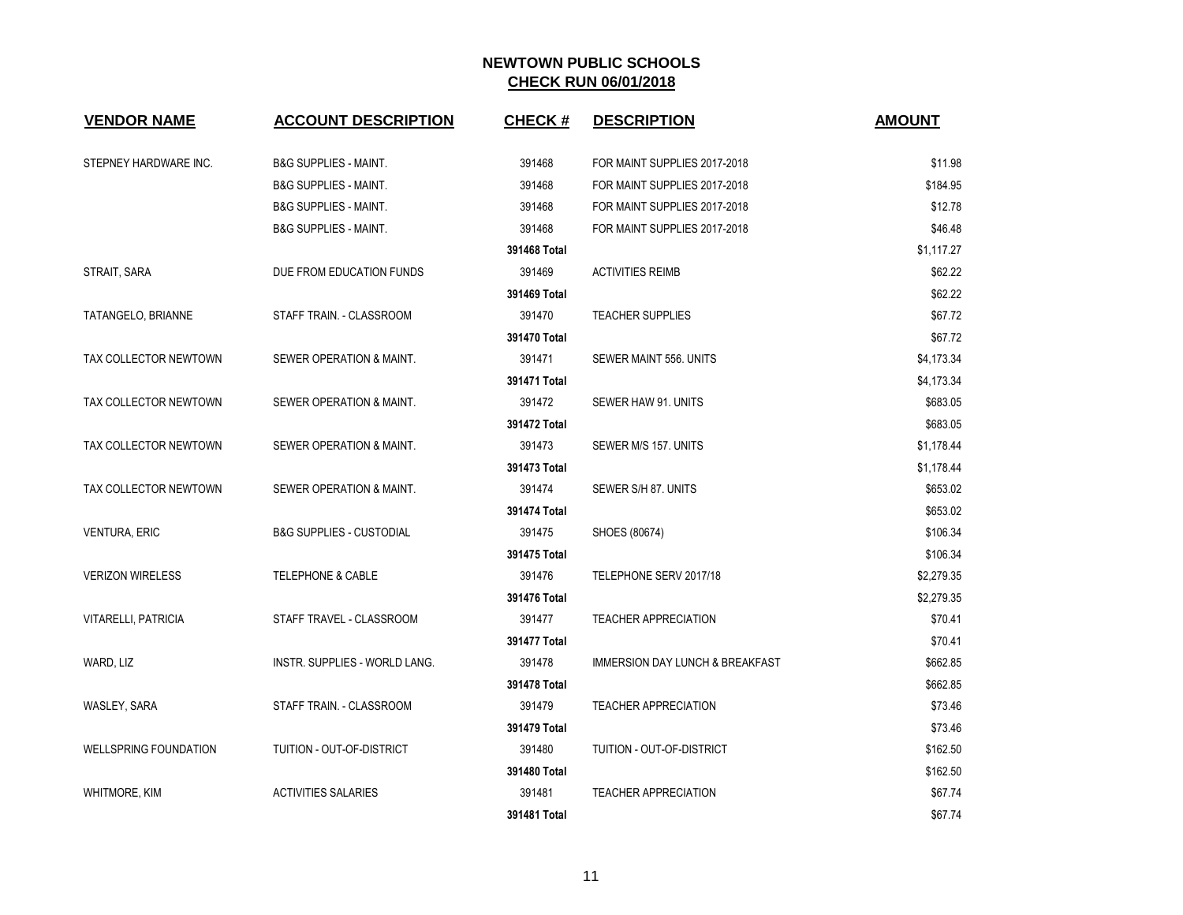| <b>VENDOR NAME</b>           | <b>ACCOUNT DESCRIPTION</b>          | <b>CHECK#</b> | <b>DESCRIPTION</b>                         | <b>AMOUNT</b> |
|------------------------------|-------------------------------------|---------------|--------------------------------------------|---------------|
| STEPNEY HARDWARE INC.        | <b>B&amp;G SUPPLIES - MAINT.</b>    | 391468        | FOR MAINT SUPPLIES 2017-2018               | \$11.98       |
|                              | <b>B&amp;G SUPPLIES - MAINT.</b>    | 391468        | FOR MAINT SUPPLIES 2017-2018               | \$184.95      |
|                              | <b>B&amp;G SUPPLIES - MAINT.</b>    | 391468        | FOR MAINT SUPPLIES 2017-2018               | \$12.78       |
|                              | <b>B&amp;G SUPPLIES - MAINT.</b>    | 391468        | FOR MAINT SUPPLIES 2017-2018               | \$46.48       |
|                              |                                     | 391468 Total  |                                            | \$1,117.27    |
| STRAIT, SARA                 | DUE FROM EDUCATION FUNDS            | 391469        | <b>ACTIVITIES REIMB</b>                    | \$62.22       |
|                              |                                     | 391469 Total  |                                            | \$62.22       |
| TATANGELO, BRIANNE           | STAFF TRAIN. - CLASSROOM            | 391470        | <b>TEACHER SUPPLIES</b>                    | \$67.72       |
|                              |                                     | 391470 Total  |                                            | \$67.72       |
| TAX COLLECTOR NEWTOWN        | SEWER OPERATION & MAINT.            | 391471        | SEWER MAINT 556. UNITS                     | \$4,173.34    |
|                              |                                     | 391471 Total  |                                            | \$4,173.34    |
| TAX COLLECTOR NEWTOWN        | SEWER OPERATION & MAINT.            | 391472        | SEWER HAW 91. UNITS                        | \$683.05      |
|                              |                                     | 391472 Total  |                                            | \$683.05      |
| TAX COLLECTOR NEWTOWN        | SEWER OPERATION & MAINT.            | 391473        | SEWER M/S 157. UNITS                       | \$1,178.44    |
|                              |                                     | 391473 Total  |                                            | \$1,178.44    |
| TAX COLLECTOR NEWTOWN        | SEWER OPERATION & MAINT.            | 391474        | SEWER S/H 87. UNITS                        | \$653.02      |
|                              |                                     | 391474 Total  |                                            | \$653.02      |
| <b>VENTURA, ERIC</b>         | <b>B&amp;G SUPPLIES - CUSTODIAL</b> | 391475        | SHOES (80674)                              | \$106.34      |
|                              |                                     | 391475 Total  |                                            | \$106.34      |
| <b>VERIZON WIRELESS</b>      | <b>TELEPHONE &amp; CABLE</b>        | 391476        | TELEPHONE SERV 2017/18                     | \$2,279.35    |
|                              |                                     | 391476 Total  |                                            | \$2,279.35    |
| <b>VITARELLI, PATRICIA</b>   | STAFF TRAVEL - CLASSROOM            | 391477        | <b>TEACHER APPRECIATION</b>                | \$70.41       |
|                              |                                     | 391477 Total  |                                            | \$70.41       |
| WARD, LIZ                    | INSTR. SUPPLIES - WORLD LANG.       | 391478        | <b>IMMERSION DAY LUNCH &amp; BREAKFAST</b> | \$662.85      |
|                              |                                     | 391478 Total  |                                            | \$662.85      |
| WASLEY, SARA                 | STAFF TRAIN. - CLASSROOM            | 391479        | <b>TEACHER APPRECIATION</b>                | \$73.46       |
|                              |                                     | 391479 Total  |                                            | \$73.46       |
| <b>WELLSPRING FOUNDATION</b> | TUITION - OUT-OF-DISTRICT           | 391480        | TUITION - OUT-OF-DISTRICT                  | \$162.50      |
|                              |                                     | 391480 Total  |                                            | \$162.50      |
| <b>WHITMORE, KIM</b>         | <b>ACTIVITIES SALARIES</b>          | 391481        | <b>TEACHER APPRECIATION</b>                | \$67.74       |
|                              |                                     | 391481 Total  |                                            | \$67.74       |